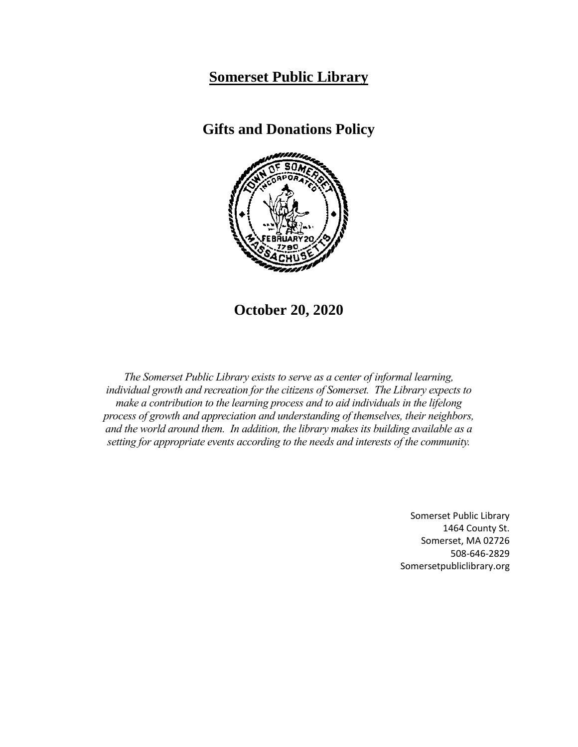## **Somerset Public Library**

**Gifts and Donations Policy**



**October 20, 2020**

*The Somerset Public Library exists to serve as a center of informal learning, individual growth and recreation for the citizens of Somerset. The Library expects to make a contribution to the learning process and to aid individuals in the lifelong process of growth and appreciation and understanding of themselves, their neighbors, and the world around them. In addition, the library makes its building available as a setting for appropriate events according to the needs and interests of the community.*

> Somerset Public Library 1464 County St. Somerset, MA 02726 508-646-2829 Somersetpubliclibrary.org